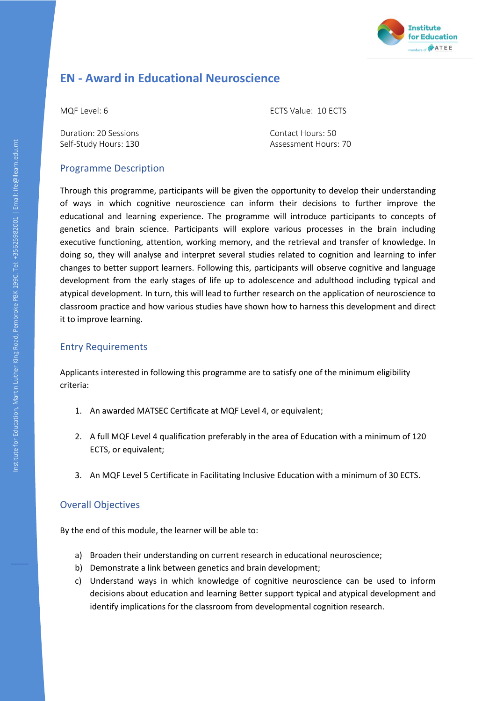

## **EN - Award in Educational Neuroscience**

Duration: 20 Sessions Contact Hours: 50

MQF Level: 6 ECTS Value: 10 ECTS

Self-Study Hours: 130 **Assessment Hours: 70** Assessment Hours: 70

## Programme Description

Through this programme, participants will be given the opportunity to develop their understanding of ways in which cognitive neuroscience can inform their decisions to further improve the educational and learning experience. The programme will introduce participants to concepts of genetics and brain science. Participants will explore various processes in the brain including executive functioning, attention, working memory, and the retrieval and transfer of knowledge. In doing so, they will analyse and interpret several studies related to cognition and learning to infer changes to better support learners. Following this, participants will observe cognitive and language development from the early stages of life up to adolescence and adulthood including typical and atypical development. In turn, this will lead to further research on the application of neuroscience to classroom practice and how various studies have shown how to harness this development and direct it to improve learning.

## Entry Requirements

Applicants interested in following this programme are to satisfy one of the minimum eligibility criteria:

- 1. An awarded MATSEC Certificate at MQF Level 4, or equivalent;
- 2. A full MQF Level 4 qualification preferably in the area of Education with a minimum of 120 ECTS, or equivalent;
- 3. An MQF Level 5 Certificate in Facilitating Inclusive Education with a minimum of 30 ECTS.

## Overall Objectives

By the end of this module, the learner will be able to:

- a) Broaden their understanding on current research in educational neuroscience;
- b) Demonstrate a link between genetics and brain development;
- c) Understand ways in which knowledge of cognitive neuroscience can be used to inform decisions about education and learning Better support typical and atypical development and identify implications for the classroom from developmental cognition research.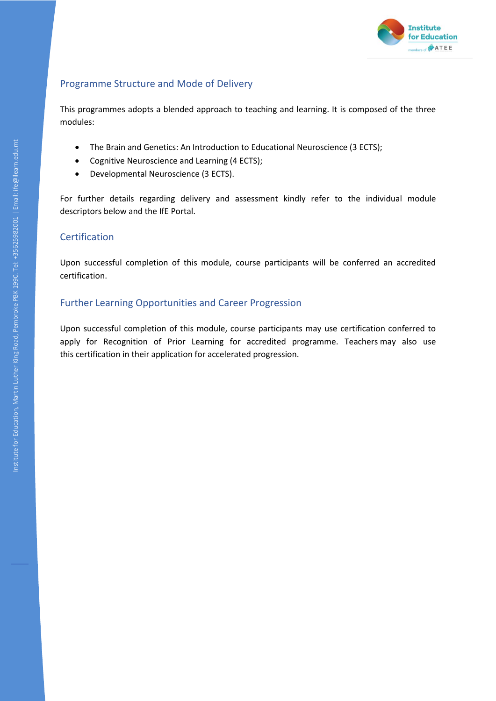

## Programme Structure and Mode of Delivery

This programmes adopts a blended approach to teaching and learning. It is composed of the three modules:

- The Brain and Genetics: An Introduction to Educational Neuroscience (3 ECTS);
- Cognitive Neuroscience and Learning (4 ECTS);
- Developmental Neuroscience (3 ECTS).

For further details regarding delivery and assessment kindly refer to the individual module descriptors below and the IfE Portal.

#### Certification

Upon successful completion of this module, course participants will be conferred an accredited certification.

## Further Learning Opportunities and Career Progression

Upon successful completion of this module, course participants may use certification conferred to apply for Recognition of Prior Learning for accredited programme. Teachers may also use this certification in their application for accelerated progression.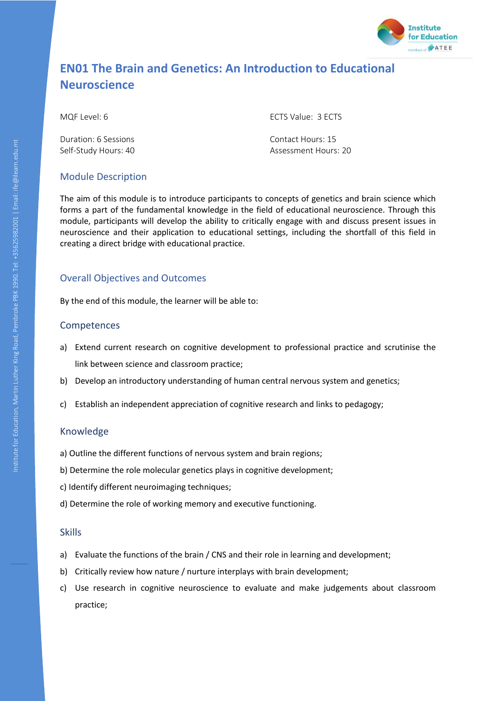

# **EN01 The Brain and Genetics: An Introduction to Educational Neuroscience**

Duration: 6 Sessions Contact Hours: 15

MQF Level: 6 ECTS Value: 3 ECTS

Self-Study Hours: 40 **Assessment Hours: 20** Assessment Hours: 20

## Module Description

The aim of this module is to introduce participants to concepts of genetics and brain science which forms a part of the fundamental knowledge in the field of educational neuroscience. Through this module, participants will develop the ability to critically engage with and discuss present issues in neuroscience and their application to educational settings, including the shortfall of this field in creating a direct bridge with educational practice.

## Overall Objectives and Outcomes

By the end of this module, the learner will be able to:

## Competences

- a) Extend current research on cognitive development to professional practice and scrutinise the link between science and classroom practice;
- b) Develop an introductory understanding of human central nervous system and genetics;
- c) Establish an independent appreciation of cognitive research and links to pedagogy;

## Knowledge

- a) Outline the different functions of nervous system and brain regions;
- b) Determine the role molecular genetics plays in cognitive development;
- c) Identify different neuroimaging techniques;
- d) Determine the role of working memory and executive functioning.

#### Skills

- a) Evaluate the functions of the brain / CNS and their role in learning and development;
- b) Critically review how nature / nurture interplays with brain development;
- c) Use research in cognitive neuroscience to evaluate and make judgements about classroom practice;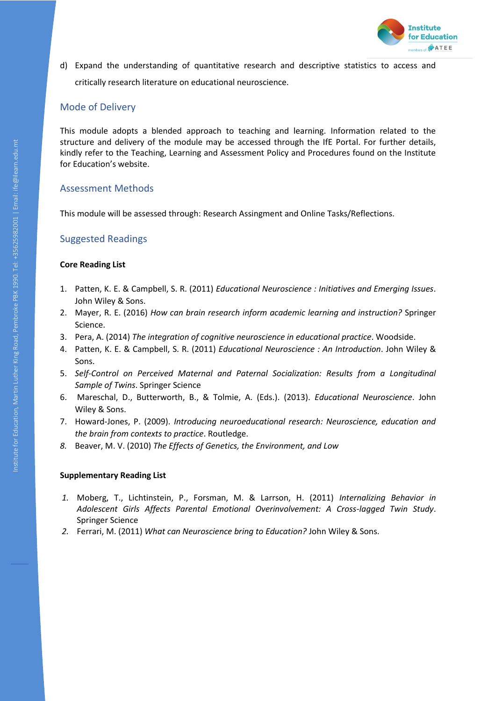

d) Expand the understanding of quantitative research and descriptive statistics to access and critically research literature on educational neuroscience.

## Mode of Delivery

This module adopts a blended approach to teaching and learning. Information related to the structure and delivery of the module may be accessed through the IfE Portal. For further details, kindly refer to the Teaching, Learning and Assessment Policy and Procedures found on the Institute for Education's website.

## Assessment Methods

This module will be assessed through: Research Assingment and Online Tasks/Reflections.

## Suggested Readings

#### **Core Reading List**

- 1. Patten, K. E. & Campbell, S. R. (2011) *Educational Neuroscience : Initiatives and Emerging Issues*. John Wiley & Sons.
- 2. Mayer, R. E. (2016) *How can brain research inform academic learning and instruction?* Springer Science.
- 3. Pera, A. (2014) *The integration of cognitive neuroscience in educational practice*. Woodside.
- 4. Patten, K. E. & Campbell, S. R. (2011) *Educational Neuroscience : An Introduction*. John Wiley & Sons.
- 5. *Self-Control on Perceived Maternal and Paternal Socialization: Results from a Longitudinal Sample of Twins*. Springer Science
- 6. Mareschal, D., Butterworth, B., & Tolmie, A. (Eds.). (2013). *Educational Neuroscience*. John Wiley & Sons.
- 7. Howard-Jones, P. (2009). *Introducing neuroeducational research: Neuroscience, education and the brain from contexts to practice*. Routledge.
- *8.* Beaver, M. V. (2010) *The Effects of Genetics, the Environment, and Low*

#### **Supplementary Reading List**

- *1.* Moberg, T., Lichtinstein, P., Forsman, M. & Larrson, H. (2011) *Internalizing Behavior in Adolescent Girls Affects Parental Emotional Overinvolvement: A Cross-lagged Twin Study*. Springer Science
- *2.* Ferrari, M. (2011) *What can Neuroscience bring to Education?* John Wiley & Sons.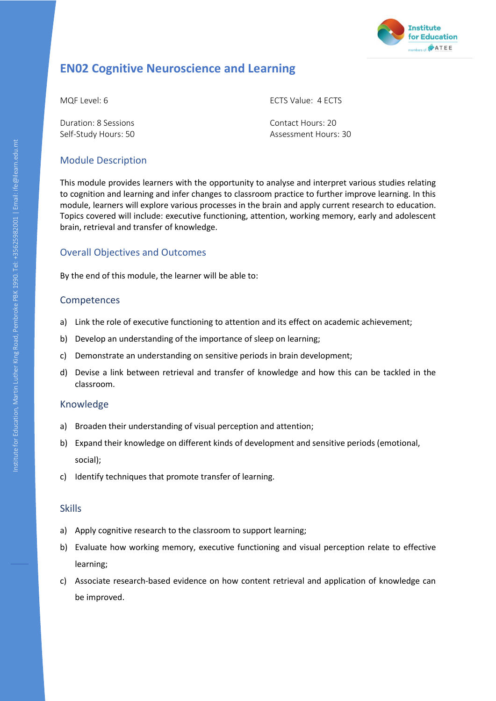

## **EN02 Cognitive Neuroscience and Learning**

Duration: 8 Sessions Contact Hours: 20

MQF Level: 6 ECTS Value: 4 ECTS

Self-Study Hours: 50 Assessment Hours: 30

## Module Description

This module provides learners with the opportunity to analyse and interpret various studies relating to cognition and learning and infer changes to classroom practice to further improve learning. In this module, learners will explore various processes in the brain and apply current research to education. Topics covered will include: executive functioning, attention, working memory, early and adolescent brain, retrieval and transfer of knowledge.

## Overall Objectives and Outcomes

By the end of this module, the learner will be able to:

#### Competences

- a) Link the role of executive functioning to attention and its effect on academic achievement;
- b) Develop an understanding of the importance of sleep on learning;
- c) Demonstrate an understanding on sensitive periods in brain development;
- d) Devise a link between retrieval and transfer of knowledge and how this can be tackled in the classroom.

#### Knowledge

- a) Broaden their understanding of visual perception and attention;
- b) Expand their knowledge on different kinds of development and sensitive periods (emotional, social);
- c) Identify techniques that promote transfer of learning.

#### Skills

- a) Apply cognitive research to the classroom to support learning;
- b) Evaluate how working memory, executive functioning and visual perception relate to effective learning;
- c) Associate research-based evidence on how content retrieval and application of knowledge can be improved.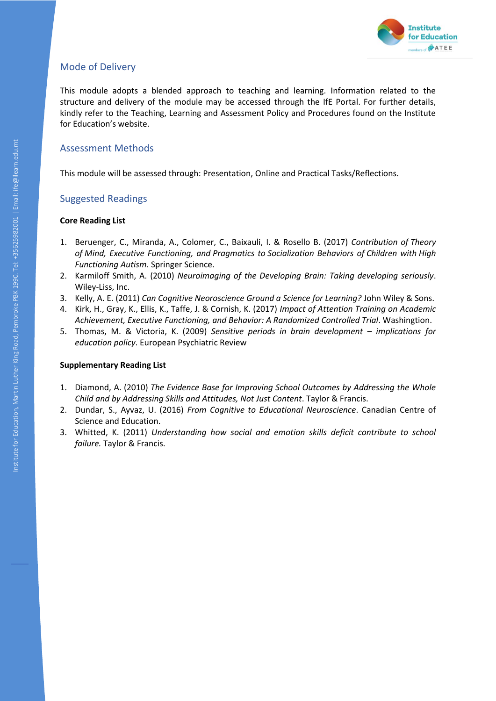

## Mode of Delivery

This module adopts a blended approach to teaching and learning. Information related to the structure and delivery of the module may be accessed through the IfE Portal. For further details, kindly refer to the Teaching, Learning and Assessment Policy and Procedures found on the Institute for Education's website.

## Assessment Methods

This module will be assessed through: Presentation, Online and Practical Tasks/Reflections.

## Suggested Readings

#### **Core Reading List**

- 1. Beruenger, C., Miranda, A., Colomer, C., Baixauli, I. & Rosello B. (2017) *Contribution of Theory of Mind, Executive Functioning, and Pragmatics to Socialization Behaviors of Children with High Functioning Autism*. Springer Science.
- 2. Karmiloff Smith, A. (2010) *Neuroimaging of the Developing Brain: Taking developing seriously*. Wiley-Liss, Inc.
- 3. Kelly, A. E. (2011) *Can Cognitive Neoroscience Ground a Science for Learning?* John Wiley & Sons.
- 4. Kirk, H., Gray, K., Ellis, K., Taffe, J. & Cornish, K. (2017) *Impact of Attention Training on Academic Achievement, Executive Functioning, and Behavior: A Randomized Controlled Trial*. Washingtion.
- 5. Thomas, M. & Victoria, K. (2009) *Sensitive periods in brain development – implications for education policy*. European Psychiatric Review

#### **Supplementary Reading List**

- 1. Diamond, A. (2010) *The Evidence Base for Improving School Outcomes by Addressing the Whole Child and by Addressing Skills and Attitudes, Not Just Content*. Taylor & Francis.
- 2. Dundar, S., Ayvaz, U. (2016) *From Cognitive to Educational Neuroscience*. Canadian Centre of Science and Education.
- 3. Whitted, K. (2011) *Understanding how social and emotion skills deficit contribute to school failure.* Taylor & Francis.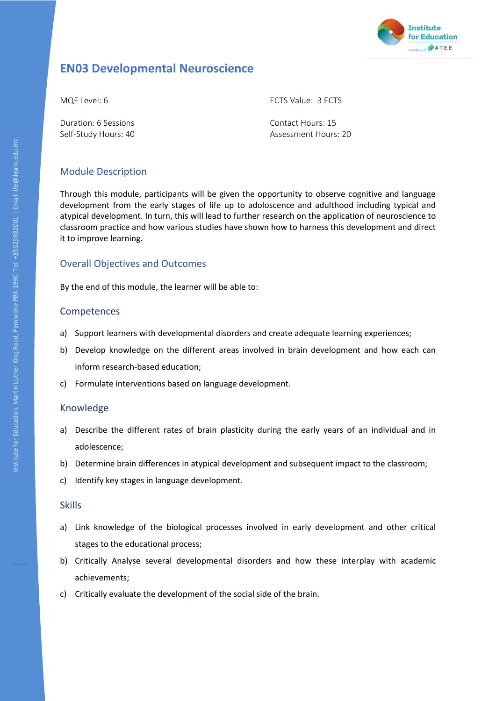

## **EN03 Developmental Neuroscience**

MQF Level: 6 ECTS Value: 3 ECTS

Duration: 6 Sessions Contact Hours: 15 Self-Study Hours: 40 Assessment Hours: 20

## Module Description

Through this module, participants will be given the opportunity to observe cognitive and language development from the early stages of life up to adoloscence and adulthood including typical and atypical development. In turn, this will lead to further research on the application of neuroscience to classroom practice and how various studies have shown how to harness this development and direct it to improve learning.

## Overall Objectives and Outcomes

By the end of this module, the learner will be able to:

## Competences

- a) Support learners with developmental disorders and create adequate learning experiences;
- b) Develop knowledge on the different areas involved in brain development and how each can inform research-based education;
- c) Formulate interventions based on language development.

## Knowledge

- a) Describe the different rates of brain plasticity during the early years of an individual and in adolescence;
- b) Determine brain differences in atypical development and subsequent impact to the classroom;
- c) Identify key stages in language development.

#### Skills

- a) Link knowledge of the biological processes involved in early development and other critical stages to the educational process;
- b) Critically Analyse several developmental disorders and how these interplay with academic achievements;
- c) Critically evaluate the development of the social side of the brain.